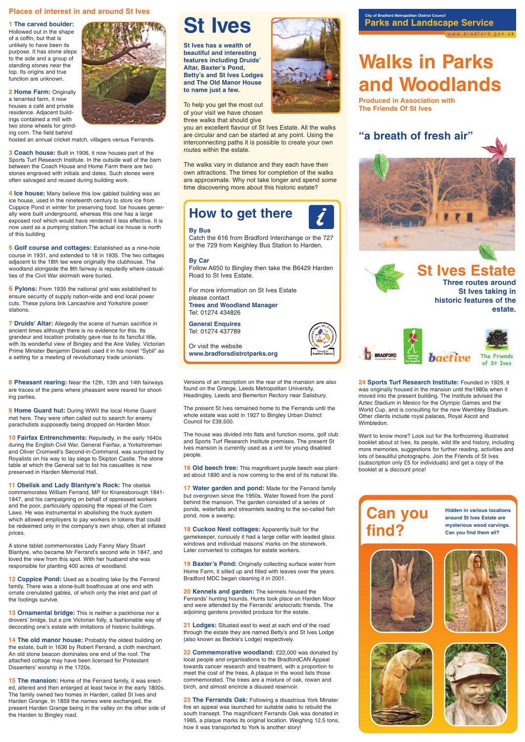#### **Places of interest in and around St Ives**

#### **1 The carved boulder:**

Hollowed out in the shape of a coffin, but that is unlikely to have been its purpose. It has stone steps to the side and a group of standing stones near the top. Its origins and true function are unknown.

**2 Home Farm:** Originally a tenanted farm, it now houses a café and private residence. Adjacent buildings contained a mill with two stone wheels for grinding corn. The field behind

hosted an annual cricket match, villagers versus Ferrands.

**3 Coach house:** Built in 1906, it now houses part of the Sports Turf Research Institute. In the outside wall of the barn between the Coach House and Home Farm there are two stones engraved with initials and dates. Such stones were often salvaged and reused during building work.

**4 Ice house:** Many believe this low gabled building was an ice house, used in the nineteenth century to store ice from Coppice Pond in winter for preserving food. Ice houses generally were built underground, whereas this one has a large exposed roof which would have rendered it less effective. It is now used as a pumping station.The actual ice house is north of this building

**5 Golf course and cottages:** Established as a nine-hole course in 1931, and extended to 18 in 1935. The two cottages adjacent to the 18th tee were originally the clubhouse. The woodland alongside the 8th fairway is reputedly where casualties of the Civil War skirmish were buried.

**6 Pylons:** From 1935 the national grid was established to ensure security of supply nation-wide and end local power cuts. These pylons link Lancashire and Yorkshire power stations.

**7 Druids' Altar:** Allegedly the scene of human sacrifice in ancient times although there is no evidence for this. Its grandeur and location probably gave rise to its fanciful title, with its wonderful view of Bingley and the Aire Valley. Victorian Prime Minister Benjamin Disraeli used it in his novel "Sybil" as a setting for a meeting of revolutionary trade unionists.

**12 Coppice Pond:** Used as a boating lake by the Ferrand family. There was a stone-built boathouse at one end with ornate crenulated gables, of which only the inlet and part of the footings survive.

**Three routes around St Ives taking in historic features of the estate.**





14 The old manor house: Probably the oldest building on the estate, built in 1636 by Robert Ferrand, a cloth merchant. An old stone beacon dominates one end of the roof. The attached cottage may have been licensed for Protestant Dissenters' worship in the 1720s.

### **Parks and Landscape Service City of Bradford Metropolitan District Council**

ww.bradford.gov.uk

### **St Ives Estate**





## **Walks in Parks and Woodlands**

**Produced in Association with The Friends Of St Ives**

**8 Pheasant rearing:** Near the 12th, 13th and 14th fairways are traces of the pens where pheasant were reared for shooting parties.

**9 Home Guard hut:** During WWII the local Home Guard met here. They were often called out to search for enemy parachutists supposedly being dropped on Harden Moor.

> **16 Old beech tree:** This magnificent purple beech was planted about 1890 and is now coming to the end of its natural life.

**10 Fairfax Entrenchments:** Reputedly, in the early 1640s during the English Civil War, General Fairfax, a Yorkshireman and Oliver Cromwell's Second-in-Command, was surprised by Royalists on his way to lay siege to Skipton Castle. The stone table at which the General sat to list his casualties is now preserved in Harden Memorial Hall.

**11 Obelisk and Lady Blantyre's Rock:** The obelisk commemorates William Ferrand, MP for Knaresborough 1841- 1847, and his campaigning on behalf of oppressed workers and the poor, particularly opposing the repeal of the Corn Laws. He was instrumental in abolishing the truck system which allowed employers to pay workers in tokens that could be redeemed only in the company's own shop, often at inflated prices.

A stone tablet commemorates Lady Fanny Mary Stuart Blantyre, who became Mr Ferrand's second wife in 1847, and loved the view from this spot. With her husband she was

responsible for planting 400 acres of woodland.

**13 Ornamental bridge:** This is neither a packhorse nor a drovers' bridge, but a pre Victorian folly, a fashionable way of decorating one's estate with imitations of historic buildings.

**15 The mansion:** Home of the Ferrand family, it was erected, altered and then enlarged at least twice in the early 1800s. The family owned two homes in Harden, called St Ives and Harden Grange. In 1859 the names were exchanged, the present Harden Grange being in the valley on the other side of the Harden to Bingley road.

Versions of an inscription on the rear of the mansion are also found on the Grange, Leeds Metropolitan University, Headingley, Leeds and Bemerton Rectory near Salisbury.

The present St Ives remained home to the Ferrands until the whole estate was sold in 1927 to Bingley Urban District Council for £39,500.

The house was divided into flats and function rooms, golf club and Sports Turf Research Institute premises. The present St Ives mansion is currently used as a unit for young disabled people.

**17 Water garden and pond:** Made for the Ferrand family but overgrown since the 1950s. Water flowed from the pond behind the mansion. The garden consisted of a series of ponds, waterfalls and streamlets leading to the so-called fish pond, now a swamp.

**18 Cuckoo Nest cottages:** Apparently built for the gamekeeper, curiously it had a large cellar with leaded glass windows and individual masons' marks on the stonework. Later converted to cottages for estate workers.



**19 Baxter's Pond:** Originally collecting surface water from Home Farm, it silted up and filled with leaves over the years. Bradford MDC began cleaning it in 2001.

**20 Kennels and garden:** The kennels housed the Ferrands' hunting hounds. Hunts took place on Harden Moor and were attended by the Ferrands' aristocratic friends. The adjoining gardens provided produce for the estate.

**21 Lodges:** Situated east to west at each end of the road through the estate they are named Betty's and St Ives Lodge (also known as Beckie's Lodge) respectively.

**22 Commemorative woodland:** £22,000 was donated by local people and organisations to the BradfordCAN Appeal towards cancer research and treatment, with a proportion to meet the cost of the trees. A plaque in the wood lists those commemorated. The trees are a mixture of oak, rowan and birch, and almost encircle a disused reservoir.

**23 The Ferrands Oak:** Following a disastrous York Minster fire an appeal was launched for suitable oaks to rebuild the south transept. The magnificent Ferrands Oak was donated in 1985, a plaque marks its original location. Weighing 12.5 tons, how it was transported to York is another story!

**24 Sports Turf Research Institute:** Founded in 1929, it was originally housed in the mansion until the1980s when it moved into the present building. The Institute advised the Aztec Stadium in Mexico for the Olympic Games and the World Cup, and is consulting for the new Wembley Stadium. Other clients include royal palaces, Royal Ascot and Wimbledon.

Want to know more? Look out for the forthcoming illustrated booklet about st Ives, its people, wild life and history, including more memories, suggestions for further reading, activities and lots of beautiful photographs. Join the Friends of St Ives (subscription only £5 for individuals) and get a copy of the booklet at a discount price!



**Hidden in various locations around St Ives Estate are mysterious wood carvings. Can you find them all?**



**The Friends of St Ives**

# **St Ives**

**St Ives has a wealth of beautiful and interesting features including Druids' Altar, Baxter's Pond, Betty's and St Ives Lodges and The Old Manor House to name just a few.**

To help you get the most out of your visit we have chosen three walks that should give

you an excellent flavour of St Ives Estate. All the walks are circular and can be started at any point. Using the interconnecting paths it is possible to create your own routes within the estate.

The walks vary in distance and they each have their own attractions. The times for completion of the walks are approximate. Why not take longer and spend some time discovering more about this historic estate?

## **How to get there**

#### **By Bus**

Catch the 616 from Bradford Interchange or the 727 or the 729 from Keighley Bus Station to Harden.

#### **By Car**

Follow A650 to Bingley then take the B6429 Harden Road to St Ives Estate.

For more information on St Ives Estate please contact **Trees and Woodland Manager**  Tel: 01274 434826

**General Enquires**  Tel: 01274 437789

Or visit the website **www.bradforsdistrctparks.org**